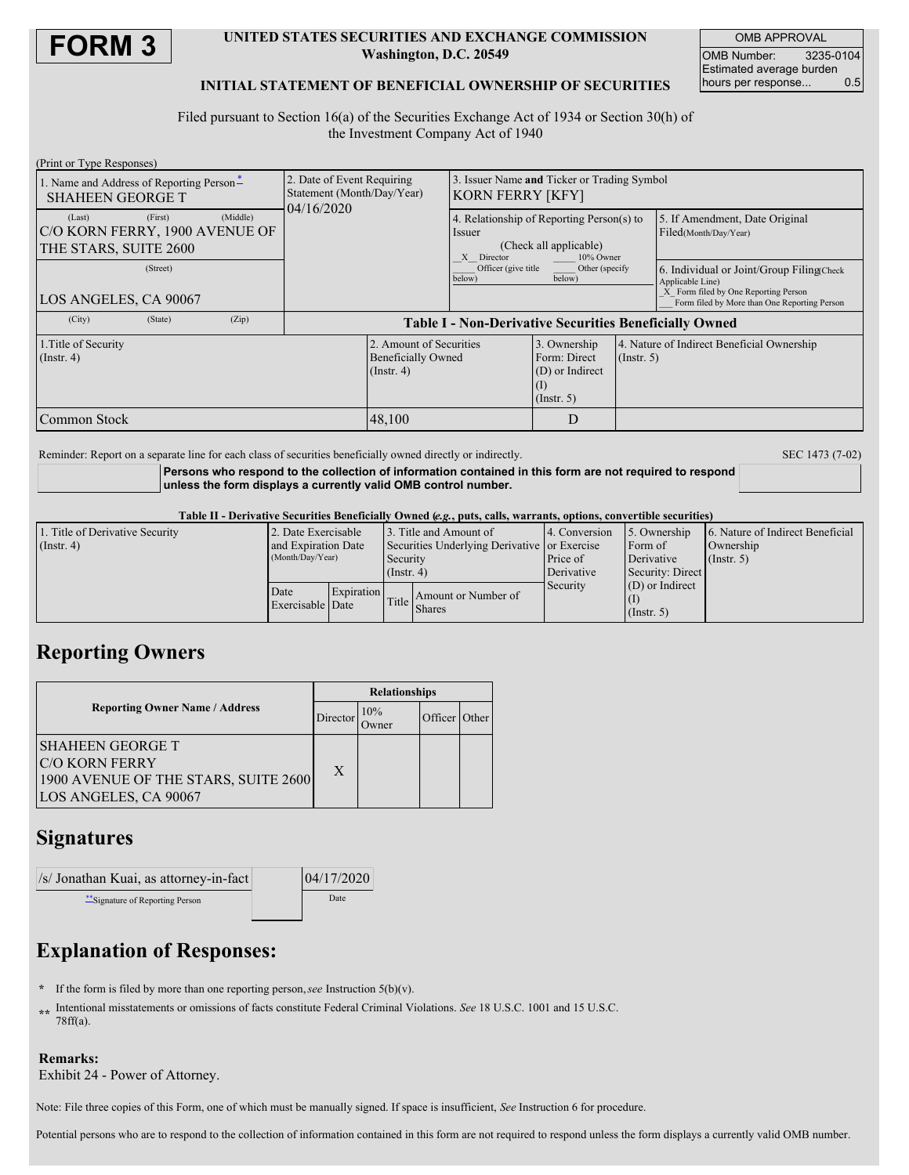

### **UNITED STATES SECURITIES AND EXCHANGE COMMISSION Washington, D.C. 20549**

OMB APPROVAL OMB Number: 3235-0104 Estimated average burden hours per response... 0.5

## **INITIAL STATEMENT OF BENEFICIAL OWNERSHIP OF SECURITIES**

Filed pursuant to Section 16(a) of the Securities Exchange Act of 1934 or Section 30(h) of the Investment Company Act of 1940

| (Print or Type Responses)                                           |         |          |                                                                        |                                                                          |                                                                                                          |                                                                     |                  |                                                                                                                                                       |  |
|---------------------------------------------------------------------|---------|----------|------------------------------------------------------------------------|--------------------------------------------------------------------------|----------------------------------------------------------------------------------------------------------|---------------------------------------------------------------------|------------------|-------------------------------------------------------------------------------------------------------------------------------------------------------|--|
| 1. Name and Address of Reporting Person-<br><b>SHAHEEN GEORGE T</b> |         |          | 2. Date of Event Requiring<br>Statement (Month/Day/Year)<br>04/16/2020 |                                                                          | 3. Issuer Name and Ticker or Trading Symbol<br>KORN FERRY [KFY]                                          |                                                                     |                  |                                                                                                                                                       |  |
| (Last)<br>C/O KORN FERRY, 1900 AVENUE OF<br>THE STARS, SUITE 2600   | (First) | (Middle) |                                                                        |                                                                          | 4. Relationship of Reporting Person(s) to<br>Issuer<br>(Check all applicable)<br>10% Owner<br>X Director |                                                                     |                  | 5. If Amendment, Date Original<br>Filed(Month/Day/Year)                                                                                               |  |
| (Street)<br>LOS ANGELES, CA 90067                                   |         |          |                                                                        |                                                                          | Officer (give title<br>below)                                                                            | Other (specify<br>below)                                            |                  | 6. Individual or Joint/Group Filing Check<br>Applicable Line)<br>X Form filed by One Reporting Person<br>Form filed by More than One Reporting Person |  |
| (City)                                                              | (State) | (Zip)    | <b>Table I - Non-Derivative Securities Beneficially Owned</b>          |                                                                          |                                                                                                          |                                                                     |                  |                                                                                                                                                       |  |
| 1. Title of Security<br>$($ Instr. 4 $)$                            |         |          |                                                                        | 2. Amount of Securities<br><b>Beneficially Owned</b><br>$($ Instr. 4 $)$ |                                                                                                          | 3. Ownership<br>Form: Direct<br>(D) or Indirect<br>$($ Instr. 5 $)$ | $($ Instr. 5 $)$ | 4. Nature of Indirect Beneficial Ownership                                                                                                            |  |
| Common Stock                                                        |         |          |                                                                        | 48,100                                                                   |                                                                                                          | D                                                                   |                  |                                                                                                                                                       |  |

Reminder: Report on a separate line for each class of securities beneficially owned directly or indirectly. SEC 1473 (7-02)

**Persons who respond to the collection of information contained in this form are not required to respond unless the form displays a currently valid OMB control number.**

#### Table II - Derivative Securities Beneficially Owned (e.g., puts, calls, warrants, options, convertible securities)

| 1. Title of Derivative Security | 2. Date Exercisable      |                   | 13. Title and Amount of                      |                                     | 4. Conversion | 5. Ownership      | 6. Nature of Indirect Beneficial |
|---------------------------------|--------------------------|-------------------|----------------------------------------------|-------------------------------------|---------------|-------------------|----------------------------------|
| $($ Instr. 4 $)$                | and Expiration Date      |                   | Securities Underlying Derivative or Exercise |                                     |               | Form of           | Ownership                        |
|                                 | (Month/Day/Year)         |                   | Security<br>$($ Instr. 4 $)$                 |                                     | Price of      | Derivative        | $($ Instr. 5)                    |
|                                 |                          |                   |                                              |                                     | Derivative    | Security: Direct  |                                  |
|                                 | Date<br>Exercisable Date | <b>Expiration</b> |                                              | Amount or Number of<br>Title Shares | Security      | $(D)$ or Indirect |                                  |
|                                 |                          |                   |                                              |                                     |               |                   |                                  |
|                                 |                          |                   |                                              |                                     |               | $($ Instr. 5 $)$  |                                  |

# **Reporting Owners**

|                                                                                                             | <b>Relationships</b> |                      |               |  |  |  |
|-------------------------------------------------------------------------------------------------------------|----------------------|----------------------|---------------|--|--|--|
| <b>Reporting Owner Name / Address</b>                                                                       | Director             | 10%<br><b>J</b> wner | Officer Other |  |  |  |
| ISHAHEEN GEORGE T<br><b>C/O KORN FERRY</b><br>1900 AVENUE OF THE STARS, SUITE 2600<br>LOS ANGELES, CA 90067 | X                    |                      |               |  |  |  |

# **Signatures**

 $/s$  Jonathan Kuai, as attorney-in-fact 04/17/2020 \*\*Signature of Reporting Person and Date

# **Explanation of Responses:**

- **\*** If the form is filed by more than one reporting person,*see* Instruction 5(b)(v).
- **\*\*** Intentional misstatements or omissions of facts constitute Federal Criminal Violations. *See* 18 U.S.C. 1001 and 15 U.S.C. 78ff(a).

## **Remarks:**

Exhibit 24 - Power of Attorney.

Note: File three copies of this Form, one of which must be manually signed. If space is insufficient, *See* Instruction 6 for procedure.

Potential persons who are to respond to the collection of information contained in this form are not required to respond unless the form displays a currently valid OMB number.